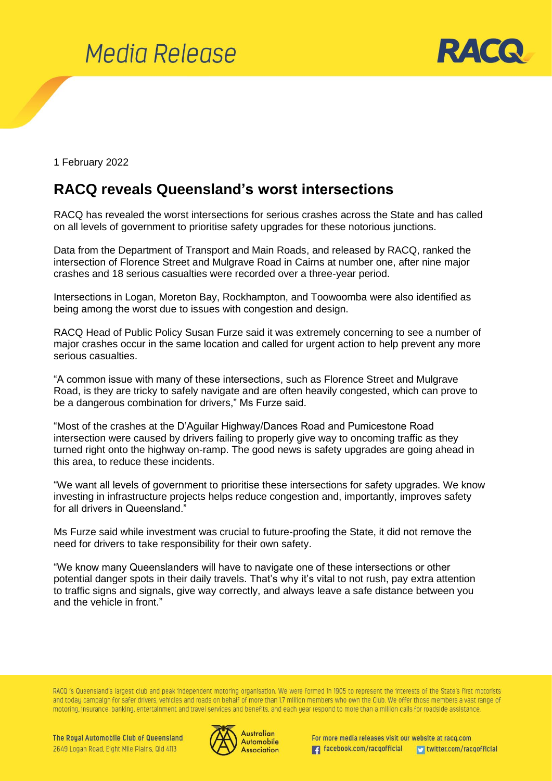

1 February 2022

## **RACQ reveals Queensland's worst intersections**

RACQ has revealed the worst intersections for serious crashes across the State and has called on all levels of government to prioritise safety upgrades for these notorious junctions.

Data from the Department of Transport and Main Roads, and released by RACQ, ranked the intersection of Florence Street and Mulgrave Road in Cairns at number one, after nine major crashes and 18 serious casualties were recorded over a three-year period.

Intersections in Logan, Moreton Bay, Rockhampton, and Toowoomba were also identified as being among the worst due to issues with congestion and design.

RACQ Head of Public Policy Susan Furze said it was extremely concerning to see a number of major crashes occur in the same location and called for urgent action to help prevent any more serious casualties.

"A common issue with many of these intersections, such as Florence Street and Mulgrave Road, is they are tricky to safely navigate and are often heavily congested, which can prove to be a dangerous combination for drivers," Ms Furze said.

"Most of the crashes at the D'Aguilar Highway/Dances Road and Pumicestone Road intersection were caused by drivers failing to properly give way to oncoming traffic as they turned right onto the highway on-ramp. The good news is safety upgrades are going ahead in this area, to reduce these incidents.

"We want all levels of government to prioritise these intersections for safety upgrades. We know investing in infrastructure projects helps reduce congestion and, importantly, improves safety for all drivers in Queensland."

Ms Furze said while investment was crucial to future-proofing the State, it did not remove the need for drivers to take responsibility for their own safety.

"We know many Queenslanders will have to navigate one of these intersections or other potential danger spots in their daily travels. That's why it's vital to not rush, pay extra attention to traffic signs and signals, give way correctly, and always leave a safe distance between you and the vehicle in front."

RACQ is Queensland's largest club and peak independent motoring organisation. We were formed in 1905 to represent the interests of the State's first motorists and today campaign for safer drivers, vehicles and roads on behalf of more than 1.7 million members who own the Club. We offer those members a vast range of motoring, insurance, banking, entertainment and travel services and benefits, and each year respond to more than a million calls for roadside assistance.